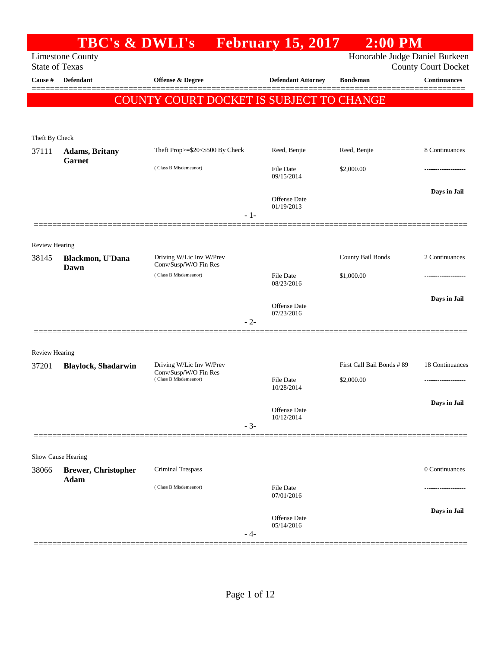|                                | <b>TBC's &amp; DWLI's</b>          |                                                   | <b>February 15, 2017</b>          | $2:00$ PM                      |                                                   |
|--------------------------------|------------------------------------|---------------------------------------------------|-----------------------------------|--------------------------------|---------------------------------------------------|
| <b>State of Texas</b>          | <b>Limestone County</b>            |                                                   |                                   | Honorable Judge Daniel Burkeen |                                                   |
| Cause #                        | <b>Defendant</b>                   | <b>Offense &amp; Degree</b>                       | <b>Defendant Attorney</b>         | <b>Bondsman</b>                | <b>County Court Docket</b><br><b>Continuances</b> |
|                                |                                    |                                                   |                                   |                                |                                                   |
|                                |                                    | COUNTY COURT DOCKET IS SUBJECT TO CHANGE          |                                   |                                |                                                   |
|                                |                                    |                                                   |                                   |                                |                                                   |
| Theft By Check                 |                                    |                                                   |                                   |                                |                                                   |
| 37111                          | <b>Adams</b> , Britany             | Theft Prop>=\$20<\$500 By Check                   | Reed, Benjie                      | Reed, Benjie                   | 8 Continuances                                    |
|                                | Garnet                             | (Class B Misdemeanor)                             | File Date                         | \$2,000.00                     |                                                   |
|                                |                                    |                                                   | 09/15/2014                        |                                |                                                   |
|                                |                                    |                                                   | Offense Date                      |                                | Days in Jail                                      |
|                                |                                    |                                                   | 01/19/2013                        |                                |                                                   |
|                                |                                    | $-1-$                                             |                                   |                                |                                                   |
|                                |                                    |                                                   |                                   |                                |                                                   |
| <b>Review Hearing</b><br>38145 | Blackmon, U'Dana                   | Driving W/Lic Inv W/Prev                          |                                   | County Bail Bonds              | 2 Continuances                                    |
|                                | Dawn                               | Conv/Susp/W/O Fin Res                             |                                   |                                |                                                   |
|                                |                                    | (Class B Misdemeanor)                             | File Date<br>08/23/2016           | \$1,000.00                     | .                                                 |
|                                |                                    |                                                   |                                   |                                | Days in Jail                                      |
|                                |                                    |                                                   | Offense Date<br>07/23/2016        |                                |                                                   |
|                                |                                    | $-2-$                                             |                                   |                                |                                                   |
|                                |                                    |                                                   |                                   |                                |                                                   |
| <b>Review Hearing</b>          |                                    |                                                   |                                   |                                |                                                   |
| 37201                          | <b>Blaylock, Shadarwin</b>         | Driving W/Lic Inv W/Prev<br>Conv/Susp/W/O Fin Res |                                   | First Call Bail Bonds # 89     | 18 Continuances                                   |
|                                |                                    | (Class B Misdemeanor)                             | <b>File Date</b><br>10/28/2014    | \$2,000.00                     | .                                                 |
|                                |                                    |                                                   |                                   |                                | Days in Jail                                      |
|                                |                                    |                                                   | <b>Offense Date</b><br>10/12/2014 |                                |                                                   |
|                                |                                    | $-3-$                                             |                                   |                                |                                                   |
|                                |                                    |                                                   |                                   |                                |                                                   |
|                                | Show Cause Hearing                 |                                                   |                                   |                                |                                                   |
| 38066                          | <b>Brewer, Christopher</b><br>Adam | <b>Criminal Trespass</b>                          |                                   |                                | 0 Continuances                                    |
|                                |                                    | (Class B Misdemeanor)                             | File Date<br>07/01/2016           |                                |                                                   |
|                                |                                    |                                                   |                                   |                                | Days in Jail                                      |
|                                |                                    |                                                   | Offense Date<br>05/14/2016        |                                |                                                   |
|                                |                                    | - 4-                                              |                                   |                                |                                                   |
|                                |                                    |                                                   |                                   |                                |                                                   |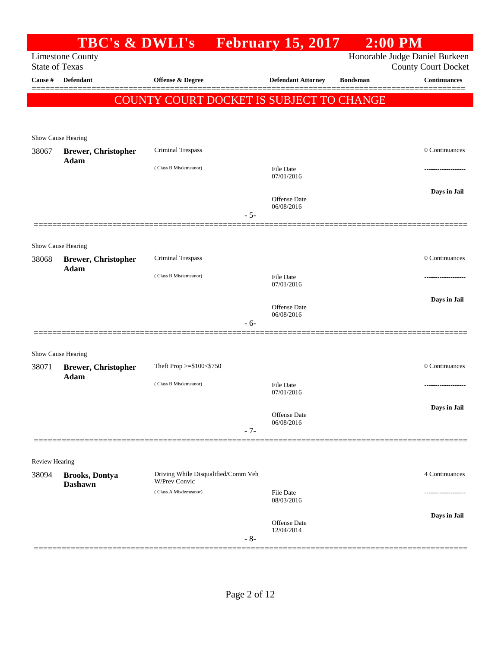|                       |                                    | TBC's & DWLI's February 15, 2017                     |       |                                   |                 | $2:00$ PM                      |
|-----------------------|------------------------------------|------------------------------------------------------|-------|-----------------------------------|-----------------|--------------------------------|
|                       | <b>Limestone County</b>            |                                                      |       |                                   |                 | Honorable Judge Daniel Burkeen |
| <b>State of Texas</b> |                                    |                                                      |       |                                   |                 | <b>County Court Docket</b>     |
| Cause #               | <b>Defendant</b>                   | Offense & Degree                                     |       | <b>Defendant Attorney</b>         | <b>Bondsman</b> | <b>Continuances</b>            |
|                       |                                    | <b>COUNTY COURT DOCKET IS SUBJECT TO CHANGE</b>      |       |                                   |                 |                                |
|                       |                                    |                                                      |       |                                   |                 |                                |
|                       |                                    |                                                      |       |                                   |                 |                                |
|                       | Show Cause Hearing                 | Criminal Trespass                                    |       |                                   |                 | 0 Continuances                 |
| 38067                 | <b>Brewer, Christopher</b><br>Adam |                                                      |       |                                   |                 |                                |
|                       |                                    | (Class B Misdemeanor)                                |       | File Date<br>07/01/2016           |                 |                                |
|                       |                                    |                                                      |       |                                   |                 | Days in Jail                   |
|                       |                                    |                                                      |       | <b>Offense</b> Date<br>06/08/2016 |                 |                                |
|                       |                                    |                                                      | $-5-$ |                                   |                 |                                |
|                       |                                    |                                                      |       |                                   |                 |                                |
|                       | Show Cause Hearing                 |                                                      |       |                                   |                 |                                |
| 38068                 | <b>Brewer, Christopher</b>         | <b>Criminal Trespass</b>                             |       |                                   |                 | 0 Continuances                 |
|                       | Adam                               | (Class B Misdemeanor)                                |       | <b>File Date</b>                  |                 |                                |
|                       |                                    |                                                      |       | 07/01/2016                        |                 |                                |
|                       |                                    |                                                      |       | <b>Offense</b> Date               |                 | Days in Jail                   |
|                       |                                    |                                                      | $-6-$ | 06/08/2016                        |                 |                                |
|                       |                                    |                                                      |       |                                   |                 |                                |
|                       |                                    |                                                      |       |                                   |                 |                                |
|                       | Show Cause Hearing                 | Theft Prop >=\$100<\$750                             |       |                                   |                 | 0 Continuances                 |
| 38071                 | <b>Brewer, Christopher</b><br>Adam |                                                      |       |                                   |                 |                                |
|                       |                                    | (Class B Misdemeanor)                                |       | <b>File Date</b><br>07/01/2016    |                 |                                |
|                       |                                    |                                                      |       |                                   |                 | Days in Jail                   |
|                       |                                    |                                                      |       | <b>Offense</b> Date<br>06/08/2016 |                 |                                |
|                       |                                    |                                                      | $-7-$ |                                   |                 |                                |
|                       |                                    |                                                      |       |                                   |                 |                                |
| <b>Review Hearing</b> |                                    |                                                      |       |                                   |                 |                                |
| 38094                 | <b>Brooks, Dontya</b>              | Driving While Disqualified/Comm Veh<br>W/Prev Convic |       |                                   |                 | 4 Continuances                 |
|                       | <b>Dashawn</b>                     | (Class A Misdemeanor)                                |       | <b>File Date</b>                  |                 |                                |
|                       |                                    |                                                      |       | 08/03/2016                        |                 |                                |
|                       |                                    |                                                      |       | <b>Offense</b> Date               |                 | Days in Jail                   |
|                       |                                    |                                                      | $-8-$ | 12/04/2014                        |                 |                                |
|                       |                                    |                                                      |       |                                   |                 |                                |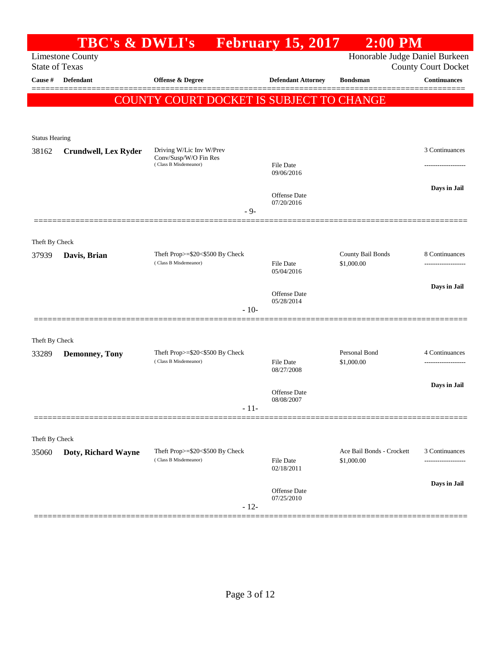|                       | <b>TBC's &amp; DWLI's</b>   |                                                          | <b>February 15, 2017</b>       | $2:00$ PM                      |                                                   |
|-----------------------|-----------------------------|----------------------------------------------------------|--------------------------------|--------------------------------|---------------------------------------------------|
| <b>State of Texas</b> | <b>Limestone County</b>     |                                                          |                                | Honorable Judge Daniel Burkeen |                                                   |
| Cause #               | <b>Defendant</b>            | Offense & Degree                                         | <b>Defendant Attorney</b>      | <b>Bondsman</b>                | <b>County Court Docket</b><br><b>Continuances</b> |
|                       |                             |                                                          |                                |                                |                                                   |
|                       |                             | COUNTY COURT DOCKET IS SUBJECT TO CHANGE                 |                                |                                |                                                   |
|                       |                             |                                                          |                                |                                |                                                   |
| <b>Status Hearing</b> |                             |                                                          |                                |                                |                                                   |
| 38162                 | <b>Crundwell, Lex Ryder</b> | Driving W/Lic Inv W/Prev                                 |                                |                                | 3 Continuances                                    |
|                       |                             | Conv/Susp/W/O Fin Res<br>(Class B Misdemeanor)           | File Date                      |                                |                                                   |
|                       |                             |                                                          | 09/06/2016                     |                                |                                                   |
|                       |                             |                                                          | <b>Offense</b> Date            |                                | Days in Jail                                      |
|                       |                             | $-9-$                                                    | 07/20/2016                     |                                |                                                   |
|                       |                             |                                                          |                                |                                |                                                   |
| Theft By Check        |                             |                                                          |                                |                                |                                                   |
| 37939                 | Davis, Brian                | Theft Prop>=\$20<\$500 By Check<br>(Class B Misdemeanor) |                                | County Bail Bonds              | 8 Continuances                                    |
|                       |                             |                                                          | <b>File Date</b><br>05/04/2016 | \$1,000.00                     |                                                   |
|                       |                             |                                                          |                                |                                | Days in Jail                                      |
|                       |                             |                                                          | Offense Date<br>05/28/2014     |                                |                                                   |
|                       |                             | $-10-$                                                   |                                |                                |                                                   |
|                       |                             |                                                          |                                |                                |                                                   |
| Theft By Check        |                             |                                                          |                                |                                |                                                   |
| 33289                 | <b>Demonney, Tony</b>       | Theft Prop>=\$20<\$500 By Check<br>(Class B Misdemeanor) | <b>File Date</b>               | Personal Bond<br>\$1,000.00    | 4 Continuances<br>-----------------               |
|                       |                             |                                                          | 08/27/2008                     |                                |                                                   |
|                       |                             |                                                          | Offense Date                   |                                | Days in Jail                                      |
|                       |                             | $-11-$                                                   | 08/08/2007                     |                                |                                                   |
|                       |                             |                                                          |                                |                                |                                                   |
| Theft By Check        |                             |                                                          |                                |                                |                                                   |
| 35060                 | Doty, Richard Wayne         | Theft Prop>=\$20<\$500 By Check                          |                                | Ace Bail Bonds - Crockett      | 3 Continuances                                    |
|                       |                             | (Class B Misdemeanor)                                    | File Date<br>02/18/2011        | \$1,000.00                     | ---------------                                   |
|                       |                             |                                                          |                                |                                | Days in Jail                                      |
|                       |                             |                                                          | Offense Date<br>07/25/2010     |                                |                                                   |
|                       |                             | $-12-$                                                   |                                |                                |                                                   |
|                       |                             |                                                          |                                |                                |                                                   |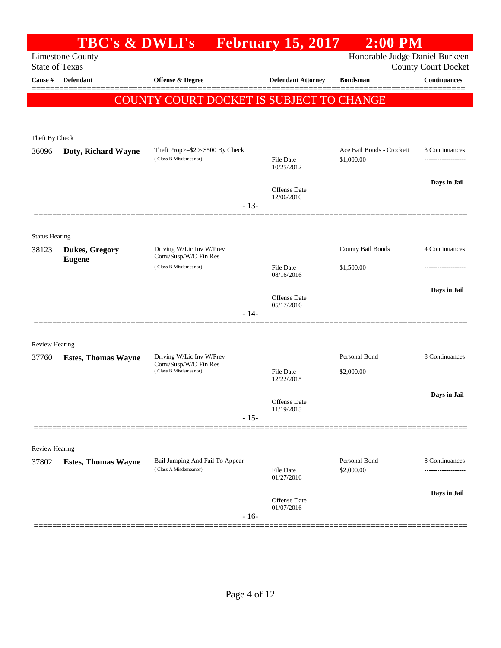|                                | <b>TBC's &amp; DWLI's</b>                        |                                                          | <b>February 15, 2017</b>       | $2:00$ PM                               |                            |
|--------------------------------|--------------------------------------------------|----------------------------------------------------------|--------------------------------|-----------------------------------------|----------------------------|
|                                | <b>Limestone County</b><br><b>State of Texas</b> |                                                          |                                | Honorable Judge Daniel Burkeen          | <b>County Court Docket</b> |
| Cause #                        | Defendant                                        | Offense & Degree                                         | <b>Defendant Attorney</b>      | <b>Bondsman</b>                         | <b>Continuances</b>        |
|                                |                                                  |                                                          |                                |                                         |                            |
|                                |                                                  | COUNTY COURT DOCKET IS SUBJECT TO CHANGE                 |                                |                                         |                            |
|                                |                                                  |                                                          |                                |                                         |                            |
| Theft By Check                 |                                                  |                                                          |                                |                                         |                            |
| 36096                          | Doty, Richard Wayne                              | Theft Prop>=\$20<\$500 By Check<br>(Class B Misdemeanor) | File Date                      | Ace Bail Bonds - Crockett<br>\$1,000.00 | 3 Continuances             |
|                                |                                                  |                                                          | 10/25/2012                     |                                         |                            |
|                                |                                                  |                                                          | Offense Date                   |                                         | Days in Jail               |
|                                |                                                  | $-13-$                                                   | 12/06/2010                     |                                         |                            |
|                                |                                                  |                                                          |                                |                                         |                            |
| <b>Status Hearing</b>          |                                                  |                                                          |                                |                                         |                            |
| 38123                          | <b>Dukes, Gregory</b>                            | Driving W/Lic Inv W/Prev<br>Conv/Susp/W/O Fin Res        |                                | County Bail Bonds                       | 4 Continuances             |
|                                | <b>Eugene</b>                                    | (Class B Misdemeanor)                                    | <b>File Date</b><br>08/16/2016 | \$1,500.00                              |                            |
|                                |                                                  |                                                          |                                |                                         | Days in Jail               |
|                                |                                                  |                                                          | Offense Date<br>05/17/2016     |                                         |                            |
|                                | =================                                | $-14-$                                                   |                                |                                         |                            |
|                                |                                                  |                                                          |                                |                                         |                            |
| <b>Review Hearing</b><br>37760 |                                                  | Driving W/Lic Inv W/Prev                                 |                                | Personal Bond                           | 8 Continuances             |
|                                | <b>Estes, Thomas Wayne</b>                       | Conv/Susp/W/O Fin Res<br>(Class B Misdemeanor)           | <b>File Date</b>               | \$2,000.00                              |                            |
|                                |                                                  |                                                          | 12/22/2015                     |                                         |                            |
|                                |                                                  |                                                          | Offense Date                   |                                         | Days in Jail               |
|                                |                                                  | $-15-$                                                   | 11/19/2015                     |                                         |                            |
|                                |                                                  |                                                          |                                |                                         |                            |
| <b>Review Hearing</b>          |                                                  |                                                          |                                |                                         |                            |
| 37802                          | <b>Estes, Thomas Wayne</b>                       | Bail Jumping And Fail To Appear<br>(Class A Misdemeanor) |                                | Personal Bond                           | 8 Continuances             |
|                                |                                                  |                                                          | File Date<br>01/27/2016        | \$2,000.00                              |                            |
|                                |                                                  |                                                          | Offense Date                   |                                         | Days in Jail               |
|                                |                                                  | $-16-$                                                   | 01/07/2016                     |                                         |                            |
|                                |                                                  |                                                          |                                |                                         |                            |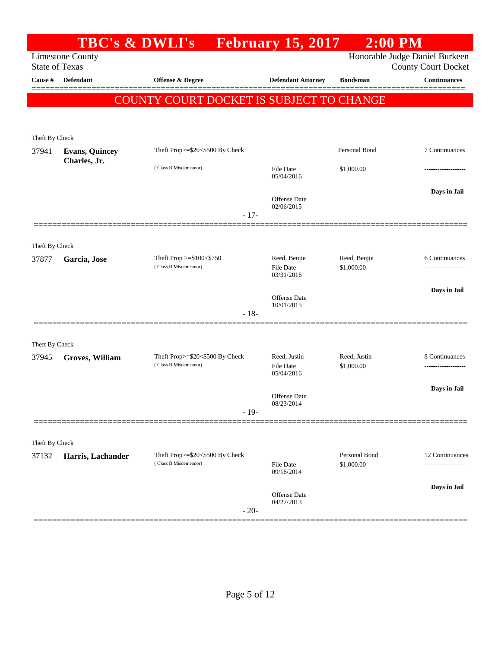|                       |                         | <b>TBC's &amp; DWLI's</b>                                |        | <b>February 15, 2017</b>                       | $2:00$ PM                   |                                                   |
|-----------------------|-------------------------|----------------------------------------------------------|--------|------------------------------------------------|-----------------------------|---------------------------------------------------|
| <b>State of Texas</b> | <b>Limestone County</b> |                                                          |        |                                                |                             | Honorable Judge Daniel Burkeen                    |
| Cause #               | <b>Defendant</b>        | <b>Offense &amp; Degree</b>                              |        | <b>Defendant Attorney</b>                      | <b>Bondsman</b>             | <b>County Court Docket</b><br><b>Continuances</b> |
|                       |                         |                                                          |        |                                                |                             |                                                   |
|                       |                         | COUNTY COURT DOCKET IS SUBJECT TO CHANGE                 |        |                                                |                             |                                                   |
|                       |                         |                                                          |        |                                                |                             |                                                   |
| Theft By Check        |                         |                                                          |        |                                                |                             |                                                   |
| 37941                 | <b>Evans, Quincey</b>   | Theft Prop>=\$20<\$500 By Check                          |        |                                                | Personal Bond               | 7 Continuances                                    |
|                       | Charles, Jr.            | (Class B Misdemeanor)                                    |        | <b>File Date</b><br>05/04/2016                 | \$1,000.00                  | -----------------                                 |
|                       |                         |                                                          | $-17-$ | <b>Offense</b> Date<br>02/06/2015              |                             | Days in Jail                                      |
|                       |                         |                                                          |        |                                                |                             |                                                   |
| Theft By Check        |                         |                                                          |        |                                                |                             |                                                   |
| 37877                 | Garcia, Jose            | Theft Prop $>=$ \$100 $<$ \$750<br>(Class B Misdemeanor) |        | Reed, Benjie<br><b>File Date</b><br>03/31/2016 | Reed, Benjie<br>\$1,000.00  | 6 Continuances                                    |
|                       |                         |                                                          |        | <b>Offense</b> Date<br>10/01/2015              |                             | Days in Jail                                      |
|                       |                         |                                                          | $-18-$ |                                                |                             |                                                   |
|                       |                         |                                                          |        |                                                |                             |                                                   |
| Theft By Check        |                         |                                                          |        |                                                |                             |                                                   |
| 37945                 | Groves, William         | Theft Prop>=\$20<\$500 By Check<br>(Class B Misdemeanor) |        | Reed, Justin<br>File Date<br>05/04/2016        | Reed, Justin<br>\$1,000.00  | 8 Continuances<br>                                |
|                       |                         |                                                          |        | <b>Offense</b> Date                            |                             | Days in Jail                                      |
|                       |                         |                                                          | $-19-$ | 08/23/2014                                     |                             |                                                   |
|                       |                         |                                                          |        |                                                |                             |                                                   |
| Theft By Check        |                         |                                                          |        |                                                |                             |                                                   |
| 37132                 | Harris, Lachander       | Theft Prop>=\$20<\$500 By Check<br>(Class B Misdemeanor) |        | File Date<br>09/16/2014                        | Personal Bond<br>\$1,000.00 | 12 Continuances                                   |
|                       |                         |                                                          |        |                                                |                             | Days in Jail                                      |
|                       |                         |                                                          | $-20-$ | Offense Date<br>04/27/2013                     |                             |                                                   |
|                       |                         |                                                          |        |                                                |                             |                                                   |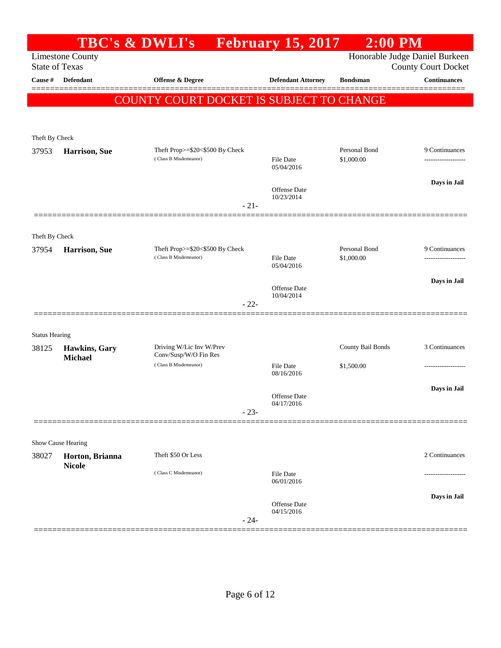|                       |                                 | <b>TBC's &amp; DWLI's</b>                                | <b>February 15, 2017</b>       | $2:00$ PM                      |                            |
|-----------------------|---------------------------------|----------------------------------------------------------|--------------------------------|--------------------------------|----------------------------|
| <b>State of Texas</b> | <b>Limestone County</b>         |                                                          |                                | Honorable Judge Daniel Burkeen | <b>County Court Docket</b> |
| Cause #               | Defendant                       | Offense & Degree                                         | <b>Defendant Attorney</b>      | <b>Bondsman</b>                | <b>Continuances</b>        |
|                       |                                 | <b>COUNTY COURT DOCKET IS SUBJECT TO CHANGE</b>          |                                |                                |                            |
|                       |                                 |                                                          |                                |                                |                            |
| Theft By Check        |                                 |                                                          |                                |                                |                            |
| 37953                 | <b>Harrison</b> , Sue           | Theft Prop>=\$20<\$500 By Check                          |                                | Personal Bond                  | 9 Continuances             |
|                       |                                 | (Class B Misdemeanor)                                    | File Date<br>05/04/2016        | \$1,000.00                     | -------------------        |
|                       |                                 |                                                          | Offense Date                   |                                | Days in Jail               |
|                       |                                 | $-21-$                                                   | 10/23/2014                     |                                |                            |
|                       |                                 |                                                          |                                |                                |                            |
| Theft By Check        |                                 |                                                          |                                |                                |                            |
| 37954                 | <b>Harrison</b> , Sue           | Theft Prop>=\$20<\$500 By Check<br>(Class B Misdemeanor) | <b>File Date</b>               | Personal Bond<br>\$1,000.00    | 9 Continuances             |
|                       |                                 |                                                          | 05/04/2016                     |                                |                            |
|                       |                                 |                                                          | Offense Date                   |                                | Days in Jail               |
|                       |                                 | $-22-$                                                   | 10/04/2014                     |                                |                            |
|                       |                                 |                                                          |                                |                                |                            |
| <b>Status Hearing</b> |                                 |                                                          |                                |                                |                            |
| 38125                 | Hawkins, Gary<br><b>Michael</b> | Driving W/Lic Inv W/Prev<br>Conv/Susp/W/O Fin Res        |                                | County Bail Bonds              | 3 Continuances             |
|                       |                                 | (Class B Misdemeanor)                                    | <b>File Date</b><br>08/16/2016 | \$1,500.00                     |                            |
|                       |                                 |                                                          | Offense Date                   |                                | Days in Jail               |
|                       |                                 | $-23-$                                                   | 04/17/2016                     |                                |                            |
|                       |                                 |                                                          |                                |                                |                            |
|                       | Show Cause Hearing              |                                                          |                                |                                |                            |
| 38027                 | Horton, Brianna                 | Theft \$50 Or Less                                       |                                |                                | 2 Continuances             |
|                       | <b>Nicole</b>                   | (Class C Misdemeanor)                                    | <b>File Date</b><br>06/01/2016 |                                |                            |
|                       |                                 |                                                          | <b>Offense</b> Date            |                                | Days in Jail               |
|                       |                                 | $-24-$                                                   | 04/15/2016                     |                                |                            |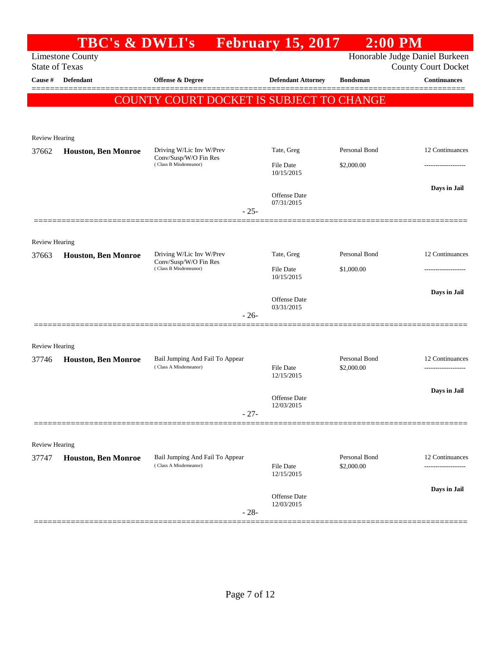|                                         |                            | TBC's & DWLI's February 15, 2017                         |                                | $2:00$ PM                   |                                                   |
|-----------------------------------------|----------------------------|----------------------------------------------------------|--------------------------------|-----------------------------|---------------------------------------------------|
|                                         | <b>Limestone County</b>    |                                                          |                                |                             | Honorable Judge Daniel Burkeen                    |
| <b>State of Texas</b><br><b>Cause</b> # | Defendant                  | Offense & Degree                                         | <b>Defendant Attorney</b>      | <b>Bondsman</b>             | <b>County Court Docket</b><br><b>Continuances</b> |
|                                         |                            |                                                          |                                |                             |                                                   |
|                                         |                            | <b>COUNTY COURT DOCKET IS SUBJECT TO CHANGE</b>          |                                |                             |                                                   |
|                                         |                            |                                                          |                                |                             |                                                   |
| <b>Review Hearing</b>                   |                            |                                                          |                                |                             |                                                   |
| 37662                                   | <b>Houston, Ben Monroe</b> | Driving W/Lic Inv W/Prev                                 | Tate, Greg                     | Personal Bond               | 12 Continuances                                   |
|                                         |                            | Conv/Susp/W/O Fin Res<br>(Class B Misdemeanor)           | <b>File Date</b>               | \$2,000.00                  |                                                   |
|                                         |                            |                                                          | 10/15/2015                     |                             |                                                   |
|                                         |                            |                                                          | Offense Date                   |                             | Days in Jail                                      |
|                                         |                            | $-25-$                                                   | 07/31/2015                     |                             |                                                   |
|                                         |                            |                                                          |                                |                             |                                                   |
| <b>Review Hearing</b>                   |                            |                                                          |                                |                             |                                                   |
| 37663                                   | <b>Houston, Ben Monroe</b> | Driving W/Lic Inv W/Prev                                 | Tate, Greg                     | Personal Bond               | 12 Continuances                                   |
|                                         |                            | Conv/Susp/W/O Fin Res<br>(Class B Misdemeanor)           | File Date                      | \$1,000.00                  |                                                   |
|                                         |                            |                                                          | 10/15/2015                     |                             |                                                   |
|                                         |                            |                                                          | Offense Date                   |                             | Days in Jail                                      |
|                                         |                            | $-26-$                                                   | 03/31/2015                     |                             |                                                   |
|                                         |                            |                                                          |                                |                             |                                                   |
| <b>Review Hearing</b>                   |                            |                                                          |                                |                             |                                                   |
| 37746                                   | <b>Houston, Ben Monroe</b> | Bail Jumping And Fail To Appear                          |                                | Personal Bond               | 12 Continuances                                   |
|                                         |                            | (Class A Misdemeanor)                                    | <b>File Date</b><br>12/15/2015 | \$2,000.00                  | ---------------                                   |
|                                         |                            |                                                          |                                |                             | Days in Jail                                      |
|                                         |                            |                                                          | Offense Date<br>12/03/2015     |                             |                                                   |
|                                         |                            | $-27-$                                                   |                                |                             |                                                   |
|                                         |                            |                                                          |                                |                             |                                                   |
| <b>Review Hearing</b>                   |                            |                                                          |                                |                             |                                                   |
| 37747                                   | <b>Houston, Ben Monroe</b> | Bail Jumping And Fail To Appear<br>(Class A Misdemeanor) | <b>File Date</b>               | Personal Bond<br>\$2,000.00 | 12 Continuances                                   |
|                                         |                            |                                                          | 12/15/2015                     |                             |                                                   |
|                                         |                            |                                                          | Offense Date                   |                             | Days in Jail                                      |
|                                         |                            | $-28-$                                                   | 12/03/2015                     |                             |                                                   |
|                                         |                            |                                                          |                                |                             |                                                   |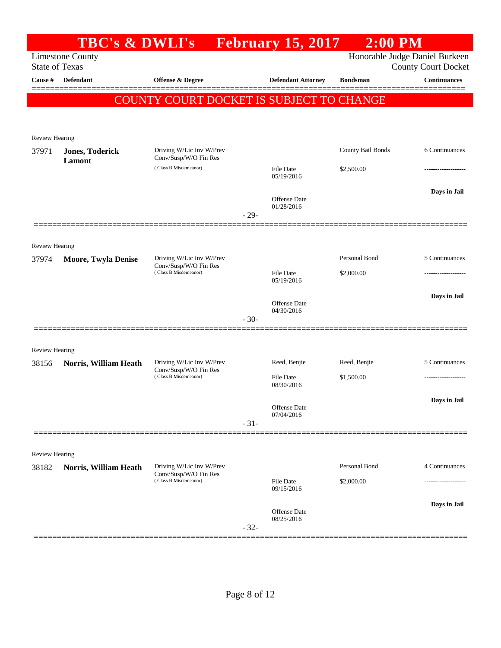|                       | <b>TBC's &amp; DWLI's</b>                        |                                                                            |        | <b>February 15, 2017</b>          | $2:00$ PM         |                                                   |
|-----------------------|--------------------------------------------------|----------------------------------------------------------------------------|--------|-----------------------------------|-------------------|---------------------------------------------------|
|                       | <b>Limestone County</b><br><b>State of Texas</b> |                                                                            |        |                                   |                   | Honorable Judge Daniel Burkeen                    |
| Cause #               | Defendant                                        | Offense & Degree                                                           |        | <b>Defendant Attorney</b>         | <b>Bondsman</b>   | <b>County Court Docket</b><br><b>Continuances</b> |
|                       |                                                  |                                                                            |        |                                   |                   | =======                                           |
|                       |                                                  | COUNTY COURT DOCKET IS SUBJECT TO CHANGE                                   |        |                                   |                   |                                                   |
|                       |                                                  |                                                                            |        |                                   |                   |                                                   |
| <b>Review Hearing</b> |                                                  |                                                                            |        |                                   |                   |                                                   |
| 37971                 | <b>Jones, Toderick</b><br>Lamont                 | Driving W/Lic Inv W/Prev<br>Conv/Susp/W/O Fin Res                          |        |                                   | County Bail Bonds | 6 Continuances                                    |
|                       |                                                  | (Class B Misdemeanor)                                                      |        | File Date<br>05/19/2016           | \$2,500.00        |                                                   |
|                       |                                                  |                                                                            |        |                                   |                   | Days in Jail                                      |
|                       |                                                  |                                                                            |        | Offense Date<br>01/28/2016        |                   |                                                   |
|                       |                                                  |                                                                            | $-29-$ |                                   |                   |                                                   |
|                       |                                                  |                                                                            |        |                                   |                   |                                                   |
| <b>Review Hearing</b> |                                                  |                                                                            |        |                                   |                   |                                                   |
| 37974                 | <b>Moore, Twyla Denise</b>                       | Driving W/Lic Inv W/Prev<br>Conv/Susp/W/O Fin Res<br>(Class B Misdemeanor) |        |                                   | Personal Bond     | 5 Continuances                                    |
|                       |                                                  |                                                                            |        | File Date<br>05/19/2016           | \$2,000.00        | ---------------                                   |
|                       |                                                  |                                                                            |        | <b>Offense Date</b>               |                   | Days in Jail                                      |
|                       |                                                  |                                                                            |        | 04/30/2016                        |                   |                                                   |
|                       |                                                  |                                                                            | $-30-$ |                                   |                   |                                                   |
| <b>Review Hearing</b> |                                                  |                                                                            |        |                                   |                   |                                                   |
| 38156                 | Norris, William Heath                            | Driving W/Lic Inv W/Prev                                                   |        | Reed, Benjie                      | Reed, Benjie      | 5 Continuances                                    |
|                       |                                                  | Conv/Susp/W/O Fin Res<br>(Class B Misdemeanor)                             |        | File Date                         | \$1,500.00        | -----------------                                 |
|                       |                                                  |                                                                            |        | 08/30/2016                        |                   |                                                   |
|                       |                                                  |                                                                            |        | Offense Date                      |                   | Days in Jail                                      |
|                       |                                                  |                                                                            | $-31-$ | 07/04/2016                        |                   |                                                   |
|                       |                                                  |                                                                            |        |                                   |                   |                                                   |
| <b>Review Hearing</b> |                                                  |                                                                            |        |                                   |                   |                                                   |
| 38182                 | Norris, William Heath                            | Driving W/Lic Inv W/Prev<br>Conv/Susp/W/O Fin Res                          |        |                                   | Personal Bond     | 4 Continuances                                    |
|                       |                                                  | (Class B Misdemeanor)                                                      |        | <b>File Date</b><br>09/15/2016    | \$2,000.00        | ----------------                                  |
|                       |                                                  |                                                                            |        |                                   |                   | Days in Jail                                      |
|                       |                                                  |                                                                            |        | <b>Offense Date</b><br>08/25/2016 |                   |                                                   |
|                       |                                                  |                                                                            | $-32-$ |                                   |                   |                                                   |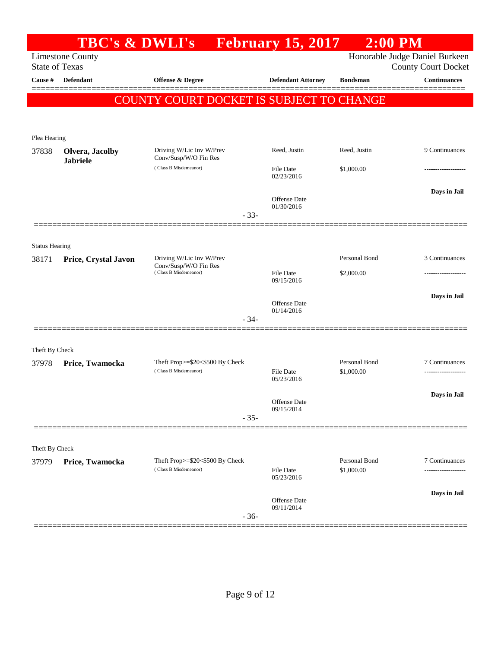|                         | <b>TBC's &amp; DWLI's</b>                        |                                                          | <b>February 15, 2017</b>          | $2:00$ PM       |                                                              |
|-------------------------|--------------------------------------------------|----------------------------------------------------------|-----------------------------------|-----------------|--------------------------------------------------------------|
|                         | <b>Limestone County</b><br><b>State of Texas</b> |                                                          |                                   |                 | Honorable Judge Daniel Burkeen<br><b>County Court Docket</b> |
| Cause #                 | <b>Defendant</b>                                 | <b>Offense &amp; Degree</b>                              | <b>Defendant Attorney</b>         | <b>Bondsman</b> | <b>Continuances</b>                                          |
|                         |                                                  | COUNTY COURT DOCKET IS SUBJECT TO CHANGE                 |                                   |                 |                                                              |
|                         |                                                  |                                                          |                                   |                 |                                                              |
|                         |                                                  |                                                          |                                   |                 |                                                              |
| Plea Hearing<br>37838   | Olvera, Jacolby                                  | Driving W/Lic Inv W/Prev                                 | Reed, Justin                      | Reed, Justin    | 9 Continuances                                               |
|                         | <b>Jabriele</b>                                  | Conv/Susp/W/O Fin Res                                    |                                   |                 |                                                              |
|                         |                                                  | (Class B Misdemeanor)                                    | File Date<br>02/23/2016           | \$1,000.00      |                                                              |
|                         |                                                  |                                                          |                                   |                 | Days in Jail                                                 |
|                         |                                                  |                                                          | <b>Offense Date</b><br>01/30/2016 |                 |                                                              |
|                         |                                                  | $-33-$                                                   |                                   |                 |                                                              |
|                         |                                                  |                                                          |                                   |                 |                                                              |
| <b>Status Hearing</b>   |                                                  |                                                          |                                   |                 |                                                              |
| 38171                   | Price, Crystal Javon                             | Driving W/Lic Inv W/Prev<br>Conv/Susp/W/O Fin Res        |                                   | Personal Bond   | 3 Continuances                                               |
|                         |                                                  | (Class B Misdemeanor)                                    | <b>File Date</b><br>09/15/2016    | \$2,000.00      |                                                              |
|                         |                                                  |                                                          |                                   |                 | Days in Jail                                                 |
|                         |                                                  |                                                          | <b>Offense Date</b><br>01/14/2016 |                 |                                                              |
|                         |                                                  | $-34-$                                                   |                                   |                 |                                                              |
|                         |                                                  |                                                          |                                   |                 |                                                              |
| Theft By Check<br>37978 | Price, Twamocka                                  | Theft Prop>=\$20<\$500 By Check                          |                                   | Personal Bond   | 7 Continuances                                               |
|                         |                                                  | (Class B Misdemeanor)                                    | File Date                         | \$1,000.00      |                                                              |
|                         |                                                  |                                                          | 05/23/2016                        |                 |                                                              |
|                         |                                                  |                                                          | Offense Date                      |                 | Days in Jail                                                 |
|                         |                                                  | $-35-$                                                   | 09/15/2014                        |                 |                                                              |
|                         |                                                  |                                                          |                                   |                 |                                                              |
| Theft By Check          |                                                  |                                                          |                                   |                 |                                                              |
| 37979                   | Price, Twamocka                                  | Theft Prop>=\$20<\$500 By Check<br>(Class B Misdemeanor) |                                   | Personal Bond   | 7 Continuances                                               |
|                         |                                                  |                                                          | File Date<br>05/23/2016           | \$1,000.00      | -----------------                                            |
|                         |                                                  |                                                          |                                   |                 | Days in Jail                                                 |
|                         |                                                  |                                                          | <b>Offense Date</b><br>09/11/2014 |                 |                                                              |
|                         |                                                  | $-36-$                                                   |                                   |                 |                                                              |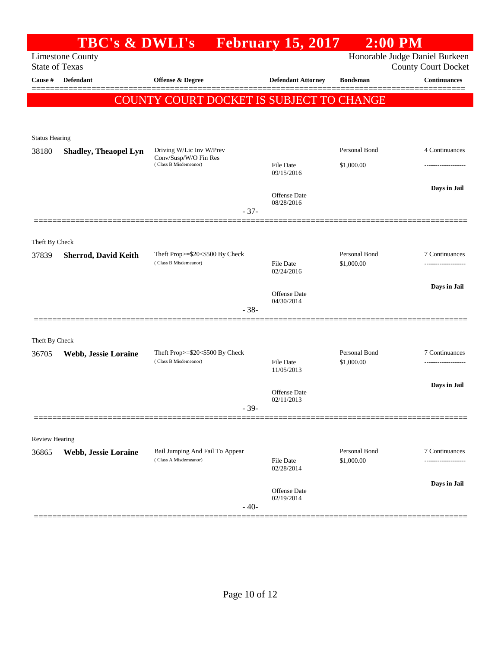|                       | <b>TBC's &amp; DWLI's</b>                        |                                                          | <b>February 15, 2017</b>          | $2:00$ PM                   |                                                              |
|-----------------------|--------------------------------------------------|----------------------------------------------------------|-----------------------------------|-----------------------------|--------------------------------------------------------------|
|                       | <b>Limestone County</b><br><b>State of Texas</b> |                                                          |                                   |                             | Honorable Judge Daniel Burkeen<br><b>County Court Docket</b> |
| Cause #               | Defendant                                        | <b>Offense &amp; Degree</b>                              | <b>Defendant Attorney</b>         | <b>Bondsman</b>             | <b>Continuances</b>                                          |
|                       |                                                  | COUNTY COURT DOCKET IS SUBJECT TO CHANGE                 |                                   |                             | =========                                                    |
|                       |                                                  |                                                          |                                   |                             |                                                              |
| <b>Status Hearing</b> |                                                  |                                                          |                                   |                             |                                                              |
| 38180                 | <b>Shadley, Theaopel Lyn</b>                     | Driving W/Lic Inv W/Prev                                 |                                   | Personal Bond               | 4 Continuances                                               |
|                       |                                                  | Conv/Susp/W/O Fin Res<br>(Class B Misdemeanor)           | File Date<br>09/15/2016           | \$1,000.00                  |                                                              |
|                       |                                                  |                                                          |                                   |                             | Days in Jail                                                 |
|                       |                                                  |                                                          | <b>Offense</b> Date<br>08/28/2016 |                             |                                                              |
|                       |                                                  | $-37-$                                                   |                                   |                             |                                                              |
| Theft By Check        |                                                  |                                                          |                                   |                             |                                                              |
| 37839                 | <b>Sherrod, David Keith</b>                      | Theft Prop>=\$20<\$500 By Check<br>(Class B Misdemeanor) | File Date                         | Personal Bond<br>\$1,000.00 | 7 Continuances<br>-------------------                        |
|                       |                                                  |                                                          | 02/24/2016                        |                             |                                                              |
|                       |                                                  |                                                          | <b>Offense</b> Date               |                             | Days in Jail                                                 |
|                       |                                                  | $-38-$                                                   | 04/30/2014                        |                             |                                                              |
|                       |                                                  |                                                          |                                   |                             |                                                              |
| Theft By Check        |                                                  | Theft Prop>=\$20<\$500 By Check                          |                                   | Personal Bond               | 7 Continuances                                               |
| 36705                 | Webb, Jessie Loraine                             | (Class B Misdemeanor)                                    | <b>File Date</b><br>11/05/2013    | \$1,000.00                  |                                                              |
|                       |                                                  |                                                          |                                   |                             | Days in Jail                                                 |
|                       |                                                  |                                                          | Offense Date<br>02/11/2013        |                             |                                                              |
|                       |                                                  | $-39-$                                                   |                                   |                             |                                                              |
| <b>Review Hearing</b> |                                                  |                                                          |                                   |                             |                                                              |
| 36865                 | Webb, Jessie Loraine                             | Bail Jumping And Fail To Appear<br>(Class A Misdemeanor) | <b>File Date</b>                  | Personal Bond<br>\$1,000.00 | 7 Continuances                                               |
|                       |                                                  |                                                          | 02/28/2014                        |                             |                                                              |
|                       |                                                  |                                                          | Offense Date                      |                             | Days in Jail                                                 |
|                       |                                                  | $-40-$                                                   | 02/19/2014                        |                             |                                                              |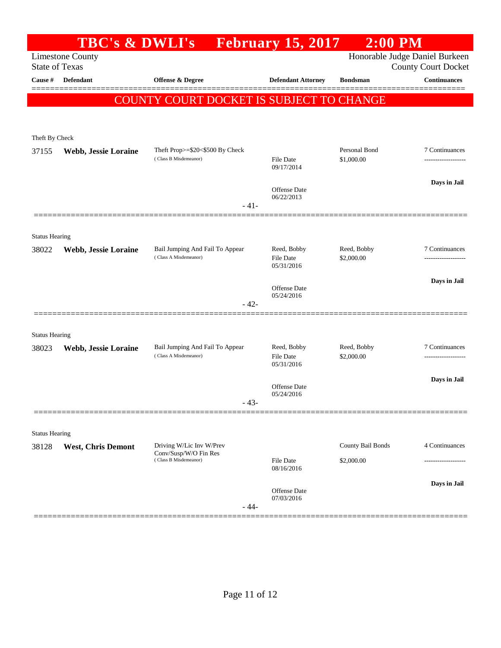|                                | <b>TBC's &amp; DWLI's</b>                        |                                                          | <b>February 15, 2017</b>       | $2:00$ PM                      |                            |
|--------------------------------|--------------------------------------------------|----------------------------------------------------------|--------------------------------|--------------------------------|----------------------------|
|                                | <b>Limestone County</b><br><b>State of Texas</b> |                                                          |                                | Honorable Judge Daniel Burkeen | <b>County Court Docket</b> |
| Cause #                        | <b>Defendant</b>                                 | <b>Offense &amp; Degree</b>                              | <b>Defendant Attorney</b>      | <b>Bondsman</b>                | <b>Continuances</b>        |
|                                |                                                  | <b>COUNTY COURT DOCKET IS SUBJECT TO CHANGE</b>          |                                |                                |                            |
|                                |                                                  |                                                          |                                |                                |                            |
| Theft By Check                 |                                                  |                                                          |                                |                                |                            |
| 37155                          | Webb, Jessie Loraine                             | Theft Prop>=\$20<\$500 By Check                          |                                | Personal Bond                  | 7 Continuances             |
|                                |                                                  | (Class B Misdemeanor)                                    | File Date<br>09/17/2014        | \$1,000.00                     | -------------------        |
|                                |                                                  |                                                          | Offense Date                   |                                | Days in Jail               |
|                                |                                                  | $-41-$                                                   | 06/22/2013                     |                                |                            |
|                                |                                                  |                                                          |                                |                                |                            |
| <b>Status Hearing</b>          |                                                  |                                                          |                                |                                |                            |
| 38022                          | Webb, Jessie Loraine                             | Bail Jumping And Fail To Appear<br>(Class A Misdemeanor) | Reed, Bobby<br>File Date       | Reed, Bobby<br>\$2,000.00      | 7 Continuances             |
|                                |                                                  |                                                          | 05/31/2016                     |                                |                            |
|                                |                                                  |                                                          | <b>Offense</b> Date            |                                | Days in Jail               |
|                                |                                                  | $-42-$                                                   | 05/24/2016                     |                                |                            |
|                                |                                                  |                                                          |                                |                                |                            |
| <b>Status Hearing</b><br>38023 |                                                  | Bail Jumping And Fail To Appear                          | Reed, Bobby                    | Reed, Bobby                    | 7 Continuances             |
|                                | Webb, Jessie Loraine                             | (Class A Misdemeanor)                                    | File Date<br>05/31/2016        | \$2,000.00                     |                            |
|                                |                                                  |                                                          |                                |                                | Days in Jail               |
|                                |                                                  |                                                          | Offense Date<br>05/24/2016     |                                |                            |
|                                |                                                  | $-43-$                                                   |                                |                                |                            |
| <b>Status Hearing</b>          |                                                  |                                                          |                                |                                |                            |
| 38128                          | <b>West, Chris Demont</b>                        | Driving W/Lic Inv W/Prev                                 |                                | County Bail Bonds              | 4 Continuances             |
|                                |                                                  | Conv/Susp/W/O Fin Res<br>(Class B Misdemeanor)           | <b>File Date</b><br>08/16/2016 | \$2,000.00                     |                            |
|                                |                                                  |                                                          |                                |                                | Days in Jail               |
|                                |                                                  |                                                          | Offense Date<br>07/03/2016     |                                |                            |
|                                |                                                  | $-44-$                                                   |                                |                                |                            |